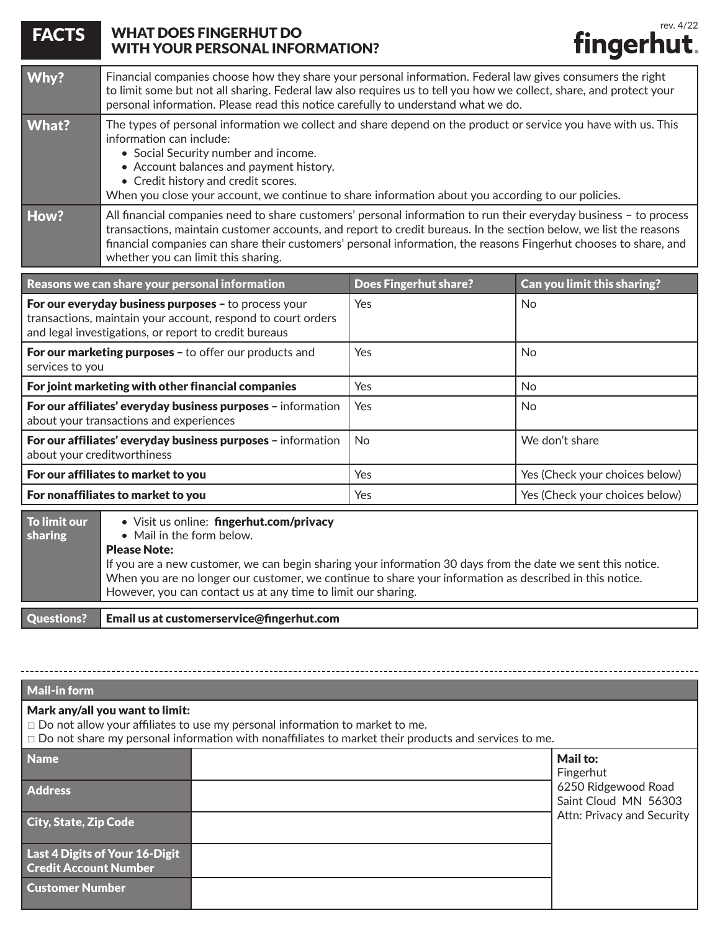| <b>FACTS</b>                                                                                                                                                                  | rev. 4/22<br><b>WHAT DOES FINGERHUT DO</b><br>fingerhut.<br><b>WITH YOUR PERSONAL INFORMATION?</b>                                                                                                                                                                                                                                                                                                |                              |                                |  |  |
|-------------------------------------------------------------------------------------------------------------------------------------------------------------------------------|---------------------------------------------------------------------------------------------------------------------------------------------------------------------------------------------------------------------------------------------------------------------------------------------------------------------------------------------------------------------------------------------------|------------------------------|--------------------------------|--|--|
| Why?                                                                                                                                                                          | Financial companies choose how they share your personal information. Federal law gives consumers the right<br>to limit some but not all sharing. Federal law also requires us to tell you how we collect, share, and protect your<br>personal information. Please read this notice carefully to understand what we do.                                                                            |                              |                                |  |  |
| What?                                                                                                                                                                         | The types of personal information we collect and share depend on the product or service you have with us. This<br>information can include:<br>• Social Security number and income.<br>• Account balances and payment history.<br>• Credit history and credit scores.<br>When you close your account, we continue to share information about you according to our policies.                        |                              |                                |  |  |
| How?                                                                                                                                                                          | All financial companies need to share customers' personal information to run their everyday business - to process<br>transactions, maintain customer accounts, and report to credit bureaus. In the section below, we list the reasons<br>financial companies can share their customers' personal information, the reasons Fingerhut chooses to share, and<br>whether you can limit this sharing. |                              |                                |  |  |
|                                                                                                                                                                               | Reasons we can share your personal information                                                                                                                                                                                                                                                                                                                                                    | <b>Does Fingerhut share?</b> | Can you limit this sharing?    |  |  |
| For our everyday business purposes - to process your<br>transactions, maintain your account, respond to court orders<br>and legal investigations, or report to credit bureaus |                                                                                                                                                                                                                                                                                                                                                                                                   | Yes                          | No                             |  |  |
| For our marketing purposes - to offer our products and<br>services to you                                                                                                     |                                                                                                                                                                                                                                                                                                                                                                                                   | Yes                          | No                             |  |  |
| For joint marketing with other financial companies                                                                                                                            |                                                                                                                                                                                                                                                                                                                                                                                                   | Yes                          | No                             |  |  |
| For our affiliates' everyday business purposes - information<br>about your transactions and experiences                                                                       |                                                                                                                                                                                                                                                                                                                                                                                                   | Yes                          | No                             |  |  |
| For our affiliates' everyday business purposes - information<br>about your creditworthiness                                                                                   |                                                                                                                                                                                                                                                                                                                                                                                                   | <b>No</b>                    | We don't share                 |  |  |
| For our affiliates to market to you                                                                                                                                           |                                                                                                                                                                                                                                                                                                                                                                                                   | Yes                          | Yes (Check your choices below) |  |  |
| For nonaffiliates to market to you                                                                                                                                            |                                                                                                                                                                                                                                                                                                                                                                                                   | Yes                          | Yes (Check your choices below) |  |  |
| To limit our<br>sharing                                                                                                                                                       | · Visit us online: fingerhut.com/privacy<br>• Mail in the form below.<br><b>Please Note:</b><br>If you are a new customer, we can begin sharing your information 30 days from the date we sent this notice.<br>When you are no longer our customer, we continue to share your information as described in this notice.<br>However, you can contact us at any time to limit our sharing.           |                              |                                |  |  |
| <b>Questions?</b>                                                                                                                                                             | Email us at customerservice@fingerhut.com                                                                                                                                                                                                                                                                                                                                                         |                              |                                |  |  |

| Mail-in form                                                                                                                                                                                                                          |  |                                             |  |  |
|---------------------------------------------------------------------------------------------------------------------------------------------------------------------------------------------------------------------------------------|--|---------------------------------------------|--|--|
| Mark any/all you want to limit:<br>$\Box$ Do not allow your affiliates to use my personal information to market to me.<br>$\Box$ Do not share my personal information with nonaffiliates to market their products and services to me. |  |                                             |  |  |
| <b>Name</b>                                                                                                                                                                                                                           |  | <b>Mail to:</b><br>Fingerhut                |  |  |
| <b>Address</b>                                                                                                                                                                                                                        |  | 6250 Ridgewood Road<br>Saint Cloud MN 56303 |  |  |
| City, State, Zip Code                                                                                                                                                                                                                 |  | Attn: Privacy and Security                  |  |  |
| Last 4 Digits of Your 16-Digit<br><b>Credit Account Number</b>                                                                                                                                                                        |  |                                             |  |  |
| <b>Customer Number</b>                                                                                                                                                                                                                |  |                                             |  |  |